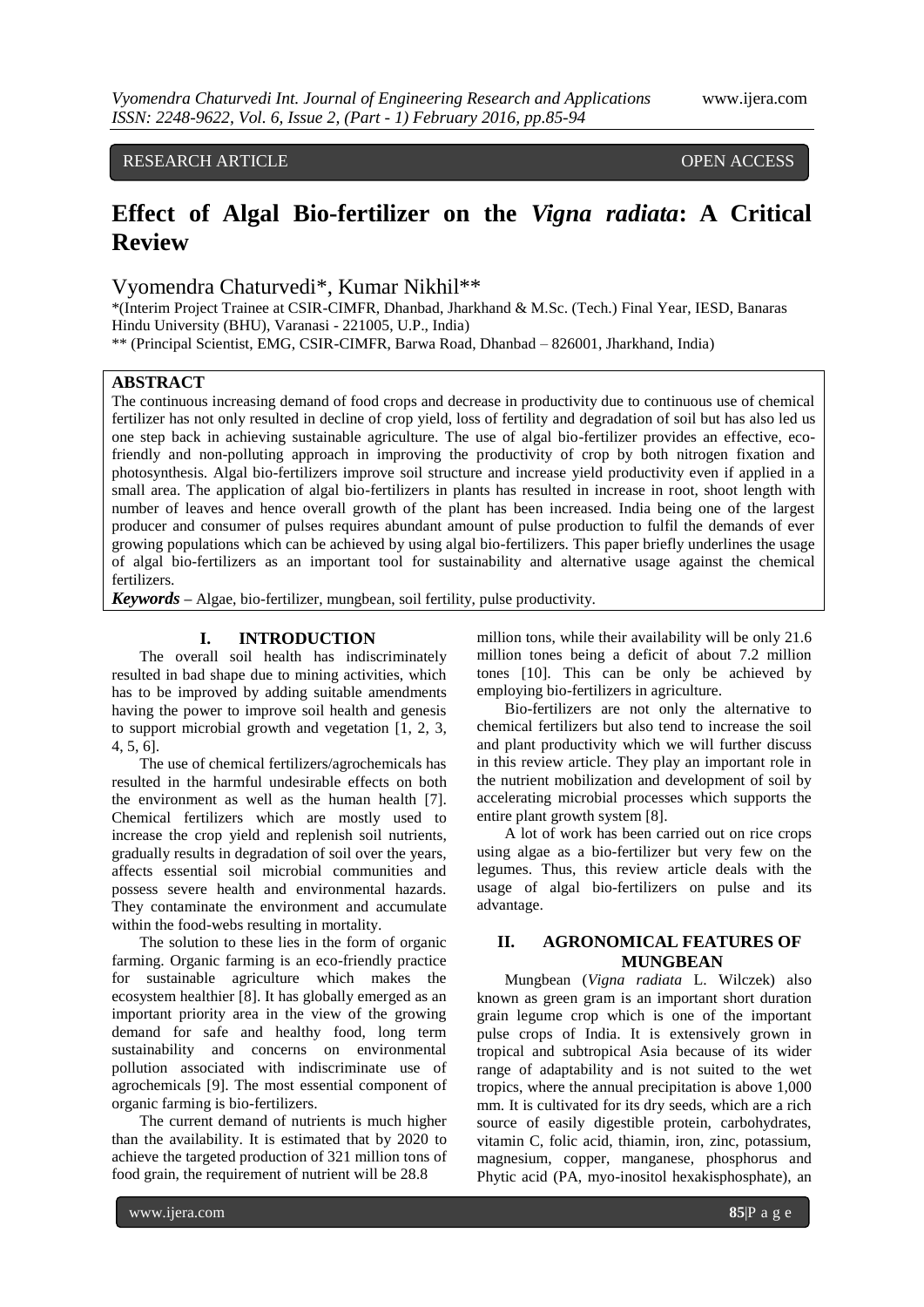# RESEARCH ARTICLE OPEN ACCESS

# **Effect of Algal Bio-fertilizer on the** *Vigna radiata***: A Critical Review**

# Vyomendra Chaturvedi\*, Kumar Nikhil\*\*

\*(Interim Project Trainee at CSIR-CIMFR, Dhanbad, Jharkhand & M.Sc. (Tech.) Final Year, IESD, Banaras Hindu University (BHU), Varanasi - 221005, U.P., India)

\*\* (Principal Scientist, EMG, CSIR-CIMFR, Barwa Road, Dhanbad – 826001, Jharkhand, India)

## **ABSTRACT**

The continuous increasing demand of food crops and decrease in productivity due to continuous use of chemical fertilizer has not only resulted in decline of crop yield, loss of fertility and degradation of soil but has also led us one step back in achieving sustainable agriculture. The use of algal bio-fertilizer provides an effective, ecofriendly and non-polluting approach in improving the productivity of crop by both nitrogen fixation and photosynthesis. Algal bio-fertilizers improve soil structure and increase yield productivity even if applied in a small area. The application of algal bio-fertilizers in plants has resulted in increase in root, shoot length with number of leaves and hence overall growth of the plant has been increased. India being one of the largest producer and consumer of pulses requires abundant amount of pulse production to fulfil the demands of ever growing populations which can be achieved by using algal bio-fertilizers. This paper briefly underlines the usage of algal bio-fertilizers as an important tool for sustainability and alternative usage against the chemical fertilizers.

*Keywords* **–** Algae, bio-fertilizer, mungbean, soil fertility, pulse productivity.

## **I. INTRODUCTION**

The overall soil health has indiscriminately resulted in bad shape due to mining activities, which has to be improved by adding suitable amendments having the power to improve soil health and genesis to support microbial growth and vegetation [1, 2, 3, 4, 5, 6].

The use of chemical fertilizers/agrochemicals has resulted in the harmful undesirable effects on both the environment as well as the human health [7]. Chemical fertilizers which are mostly used to increase the crop yield and replenish soil nutrients, gradually results in degradation of soil over the years, affects essential soil microbial communities and possess severe health and environmental hazards. They contaminate the environment and accumulate within the food-webs resulting in mortality.

The solution to these lies in the form of organic farming. Organic farming is an eco-friendly practice for sustainable agriculture which makes the ecosystem healthier [8]. It has globally emerged as an important priority area in the view of the growing demand for safe and healthy food, long term sustainability and concerns on environmental pollution associated with indiscriminate use of agrochemicals [9]. The most essential component of organic farming is bio-fertilizers.

The current demand of nutrients is much higher than the availability. It is estimated that by 2020 to achieve the targeted production of 321 million tons of food grain, the requirement of nutrient will be 28.8

million tons, while their availability will be only 21.6 million tones being a deficit of about 7.2 million tones [10]. This can be only be achieved by employing bio-fertilizers in agriculture.

Bio-fertilizers are not only the alternative to chemical fertilizers but also tend to increase the soil and plant productivity which we will further discuss in this review article. They play an important role in the nutrient mobilization and development of soil by accelerating microbial processes which supports the entire plant growth system [8].

A lot of work has been carried out on rice crops using algae as a bio-fertilizer but very few on the legumes. Thus, this review article deals with the usage of algal bio-fertilizers on pulse and its advantage.

## **II. AGRONOMICAL FEATURES OF MUNGBEAN**

Mungbean (*Vigna radiata* L. Wilczek) also known as green gram is an important short duration grain legume crop which is one of the important pulse crops of India. It is extensively grown in tropical and subtropical Asia because of its wider range of adaptability and is not suited to the wet tropics, where the annual precipitation is above 1,000 mm. It is cultivated for its dry seeds, which are a rich source of easily digestible protein, carbohydrates, vitamin C, folic acid, thiamin, iron, zinc, potassium, magnesium, copper, manganese, phosphorus and Phytic acid (PA, myo-inositol hexakisphosphate), an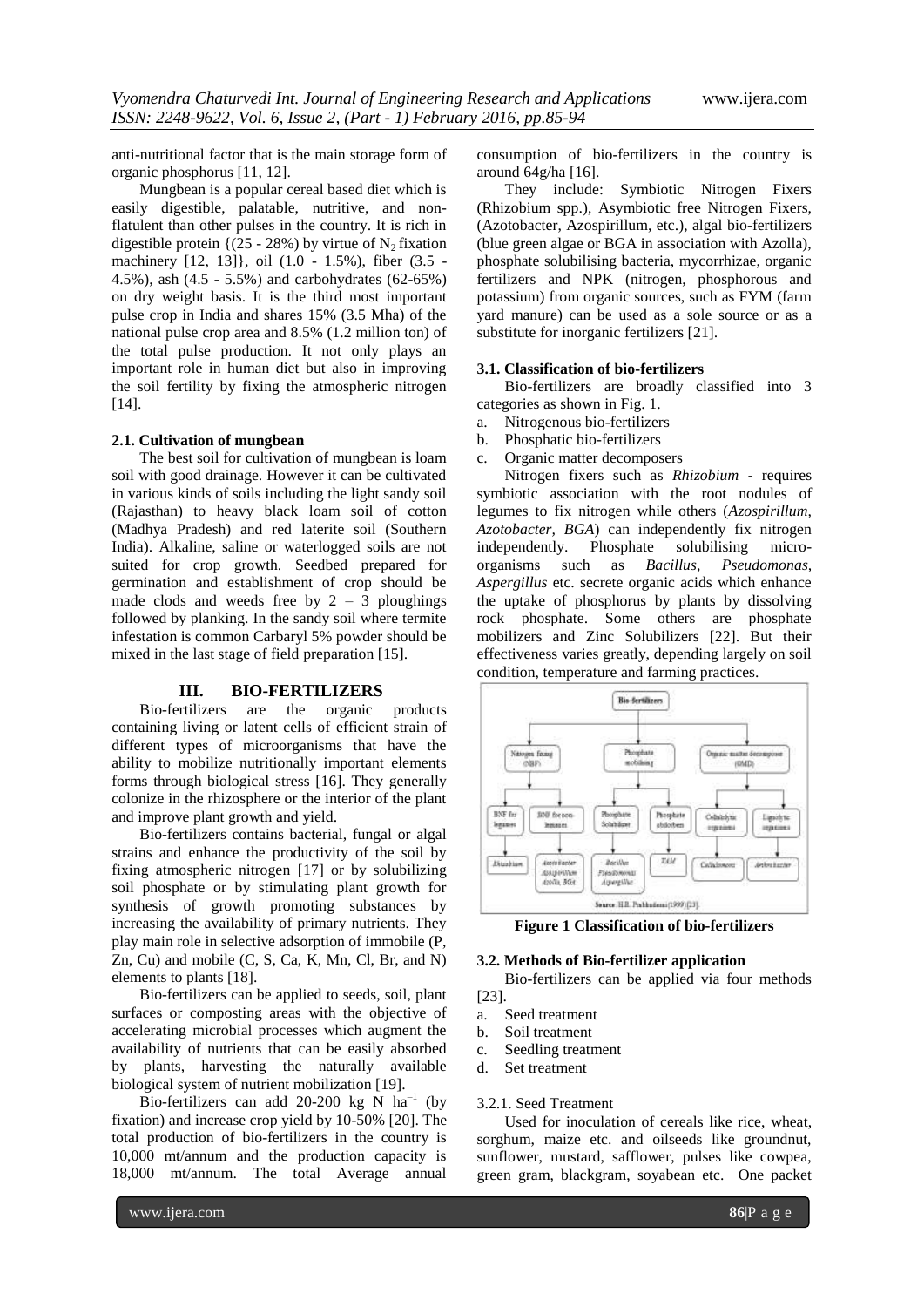anti-nutritional factor that is the main storage form of organic phosphorus [11, 12].

Mungbean is a popular cereal based diet which is easily digestible, palatable, nutritive, and nonflatulent than other pulses in the country. It is rich in digestible protein { $(25 - 28%)$  by virtue of N<sub>2</sub> fixation machinery [12, 13]}, oil (1.0 - 1.5%), fiber (3.5 - 4.5%), ash (4.5 - 5.5%) and carbohydrates (62-65%) on dry weight basis. It is the third most important pulse crop in India and shares 15% (3.5 Mha) of the national pulse crop area and 8.5% (1.2 million ton) of the total pulse production. It not only plays an important role in human diet but also in improving the soil fertility by fixing the atmospheric nitrogen [14].

## **2.1. Cultivation of mungbean**

The best soil for cultivation of mungbean is loam soil with good drainage. However it can be cultivated in various kinds of soils including the light sandy soil (Rajasthan) to heavy black loam soil of cotton (Madhya Pradesh) and red laterite soil (Southern India). Alkaline, saline or waterlogged soils are not suited for crop growth. Seedbed prepared for germination and establishment of crop should be made clods and weeds free by  $2 - 3$  ploughings followed by planking. In the sandy soil where termite infestation is common Carbaryl 5% powder should be mixed in the last stage of field preparation [15].

#### **III. BIO-FERTILIZERS**

Bio-fertilizers are the organic products containing living or latent cells of efficient strain of different types of microorganisms that have the ability to mobilize nutritionally important elements forms through biological stress [16]. They generally colonize in the rhizosphere or the interior of the plant and improve plant growth and yield.

Bio-fertilizers contains bacterial, fungal or algal strains and enhance the productivity of the soil by fixing atmospheric nitrogen [17] or by solubilizing soil phosphate or by stimulating plant growth for synthesis of growth promoting substances by increasing the availability of primary nutrients. They play main role in selective adsorption of immobile (P, Zn, Cu) and mobile (C, S, Ca, K, Mn, Cl, Br, and N) elements to plants [18].

Bio-fertilizers can be applied to seeds, soil, plant surfaces or composting areas with the objective of accelerating microbial processes which augment the availability of nutrients that can be easily absorbed by plants, harvesting the naturally available biological system of nutrient mobilization [19].

Bio-fertilizers can add 20-200 kg N  $ha^{-1}$  (by fixation) and increase crop yield by 10-50% [20]. The total production of bio-fertilizers in the country is 10,000 mt/annum and the production capacity is 18,000 mt/annum. The total Average annual

consumption of bio-fertilizers in the country is around 64g/ha [16].

They include: Symbiotic Nitrogen Fixers (Rhizobium spp.), Asymbiotic free Nitrogen Fixers, (Azotobacter, Azospirillum, etc.), algal bio-fertilizers (blue green algae or BGA in association with Azolla), phosphate solubilising bacteria, mycorrhizae, organic fertilizers and NPK (nitrogen, phosphorous and potassium) from organic sources, such as FYM (farm yard manure) can be used as a sole source or as a substitute for inorganic fertilizers [21].

## **3.1. Classification of bio-fertilizers**

Bio-fertilizers are broadly classified into 3 categories as shown in Fig. 1.

- a. Nitrogenous bio-fertilizers
- b. Phosphatic bio-fertilizers
- c. Organic matter decomposers

Nitrogen fixers such as *Rhizobium* - requires symbiotic association with the root nodules of legumes to fix nitrogen while others (*Azospirillum, Azotobacter, BGA*) can independently fix nitrogen independently. Phosphate solubilising microorganisms such as *Bacillus, Pseudomonas, Aspergillus* etc. secrete organic acids which enhance the uptake of phosphorus by plants by dissolving rock phosphate. Some others are phosphate mobilizers and Zinc Solubilizers [22]. But their effectiveness varies greatly, depending largely on soil condition, temperature and farming practices.



**Figure 1 Classification of bio-fertilizers**

#### **3.2. Methods of Bio-fertilizer application**

Bio-fertilizers can be applied via four methods [23].

- a. Seed treatment
- b. Soil treatment
- c. Seedling treatment
- d. Set treatment

## 3.2.1. Seed Treatment

Used for inoculation of cereals like rice, wheat, sorghum, maize etc. and oilseeds like groundnut, sunflower, mustard, safflower, pulses like cowpea, green gram, blackgram, soyabean etc. One packet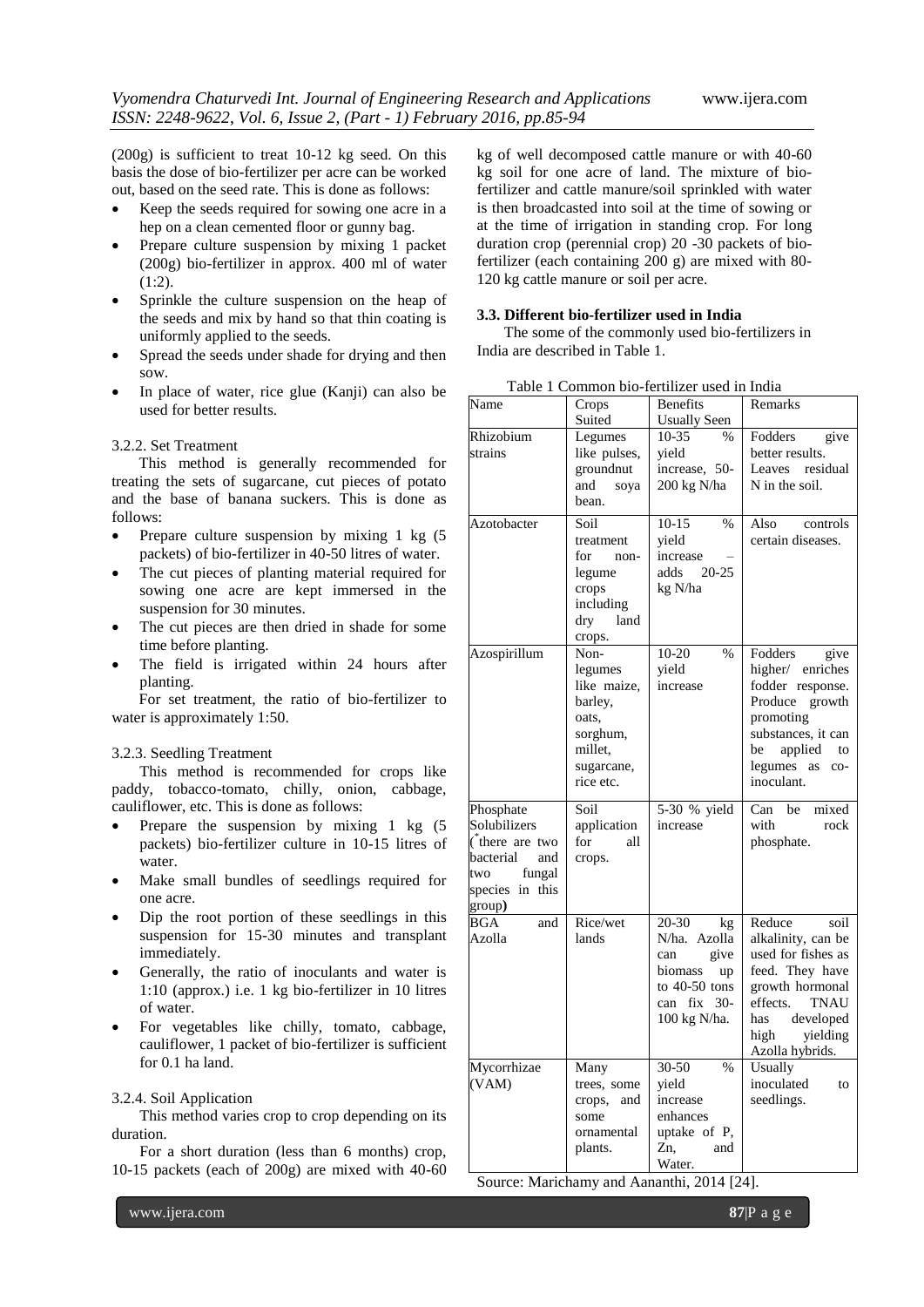(200g) is sufficient to treat 10-12 kg seed. On this basis the dose of bio-fertilizer per acre can be worked out, based on the seed rate. This is done as follows:

- Keep the seeds required for sowing one acre in a hep on a clean cemented floor or gunny bag.
- Prepare culture suspension by mixing 1 packet (200g) bio-fertilizer in approx. 400 ml of water (1:2).
- Sprinkle the culture suspension on the heap of the seeds and mix by hand so that thin coating is uniformly applied to the seeds.
- Spread the seeds under shade for drying and then sow.
- In place of water, rice glue (Kanji) can also be used for better results.

3.2.2. Set Treatment

 This method is generally recommended for treating the sets of sugarcane, cut pieces of potato and the base of banana suckers. This is done as follows:

- Prepare culture suspension by mixing 1 kg  $(5)$ packets) of bio-fertilizer in 40-50 litres of water.
- The cut pieces of planting material required for sowing one acre are kept immersed in the suspension for 30 minutes.
- The cut pieces are then dried in shade for some time before planting.
- The field is irrigated within 24 hours after planting.

 For set treatment, the ratio of bio-fertilizer to water is approximately 1:50.

## 3.2.3. Seedling Treatment

This method is recommended for crops like paddy, tobacco-tomato, chilly, onion, cabbage, cauliflower, etc. This is done as follows:

- Prepare the suspension by mixing 1 kg  $(5)$ packets) bio-fertilizer culture in 10-15 litres of water.
- Make small bundles of seedlings required for one acre.
- Dip the root portion of these seedlings in this suspension for 15-30 minutes and transplant immediately.
- Generally, the ratio of inoculants and water is 1:10 (approx.) i.e. 1 kg bio-fertilizer in 10 litres of water.
- For vegetables like chilly, tomato, cabbage, cauliflower, 1 packet of bio-fertilizer is sufficient for 0.1 ha land.

#### 3.2.4. Soil Application

This method varies crop to crop depending on its duration.

For a short duration (less than 6 months) crop, 10-15 packets (each of 200g) are mixed with 40-60 kg of well decomposed cattle manure or with 40-60 kg soil for one acre of land. The mixture of biofertilizer and cattle manure/soil sprinkled with water is then broadcasted into soil at the time of sowing or at the time of irrigation in standing crop. For long duration crop (perennial crop) 20 -30 packets of biofertilizer (each containing 200 g) are mixed with 80- 120 kg cattle manure or soil per acre.

## **3.3. Different bio-fertilizer used in India**

 The some of the commonly used bio-fertilizers in India are described in Table 1.

| Name                                                                                                                                             | Crops                                                                                                | Benefits                                                                                                      | Remarks                                                                                                                                                                                |
|--------------------------------------------------------------------------------------------------------------------------------------------------|------------------------------------------------------------------------------------------------------|---------------------------------------------------------------------------------------------------------------|----------------------------------------------------------------------------------------------------------------------------------------------------------------------------------------|
|                                                                                                                                                  | Suited                                                                                               | <b>Usually Seen</b>                                                                                           |                                                                                                                                                                                        |
| Rhizobium<br>strains                                                                                                                             | Legumes<br>like pulses,<br>groundnut<br>and<br>soya<br>bean.                                         | 10-35<br>$\%$<br>yield<br>increase, 50-<br>200 kg N/ha                                                        | Fodders<br>give<br>better results.<br>Leaves residual<br>N in the soil.                                                                                                                |
| Azotobacter                                                                                                                                      | Soil<br>treatment<br>for<br>non-<br>legume<br>crops<br>including<br>land<br>dry<br>crops.            | $10-15$<br>$\%$<br>yield<br>increase<br>$20 - 25$<br>adds<br>kg N/ha                                          | Also<br>controls<br>certain diseases.                                                                                                                                                  |
| Azospirillum                                                                                                                                     | Non-<br>legumes<br>like maize,<br>barley,<br>oats,<br>sorghum,<br>millet,<br>sugarcane,<br>rice etc. | $10-20$<br>$\%$<br>yield<br>increase                                                                          | Fodders<br>give<br>higher/ enriches<br>fodder response.<br>Produce growth<br>promoting<br>substances, it can<br>applied to<br>be<br>legumes as<br>$CO-$<br>inoculant.                  |
| Phosphate<br>Solubilizers<br>$\phi$ there are two<br>bacterial<br>and<br>fungal<br>two<br>species in this<br>$\frac{\text{group}}{\text{group}}$ | Soil<br>application<br>for<br>all<br>crops.                                                          | 5-30 % yield<br>increase                                                                                      | Can be mixed<br>with<br>rock<br>phosphate.                                                                                                                                             |
| BGA<br>and<br>Azolla                                                                                                                             | Rice/wet<br>lands                                                                                    | 20-30<br>kg<br>N/ha. Azolla<br>give<br>can<br>biomass<br>up<br>to $40-50$ tons<br>can fix 30-<br>100 kg N/ha. | Reduce<br>soil<br>alkalinity, can be<br>used for fishes as<br>feed. They have<br>growth hormonal<br>effects.<br><b>TNAU</b><br>developed<br>has<br>high<br>yielding<br>Azolla hybrids. |
| Mycorrhizae<br>(VAM)                                                                                                                             | Many<br>trees, some<br>crops,<br>and<br>some<br>ornamental<br>plants.                                | $30-50$<br>$\%$<br>yield<br>increase<br>enhances<br>uptake of P,<br>Zn,<br>and<br>Water.                      | Usually<br>inoculated<br>to<br>seedlings.                                                                                                                                              |

Table 1 Common bio-fertilizer used in India Benefits Remarks

Source: Marichamy and Aananthi, 2014 [24].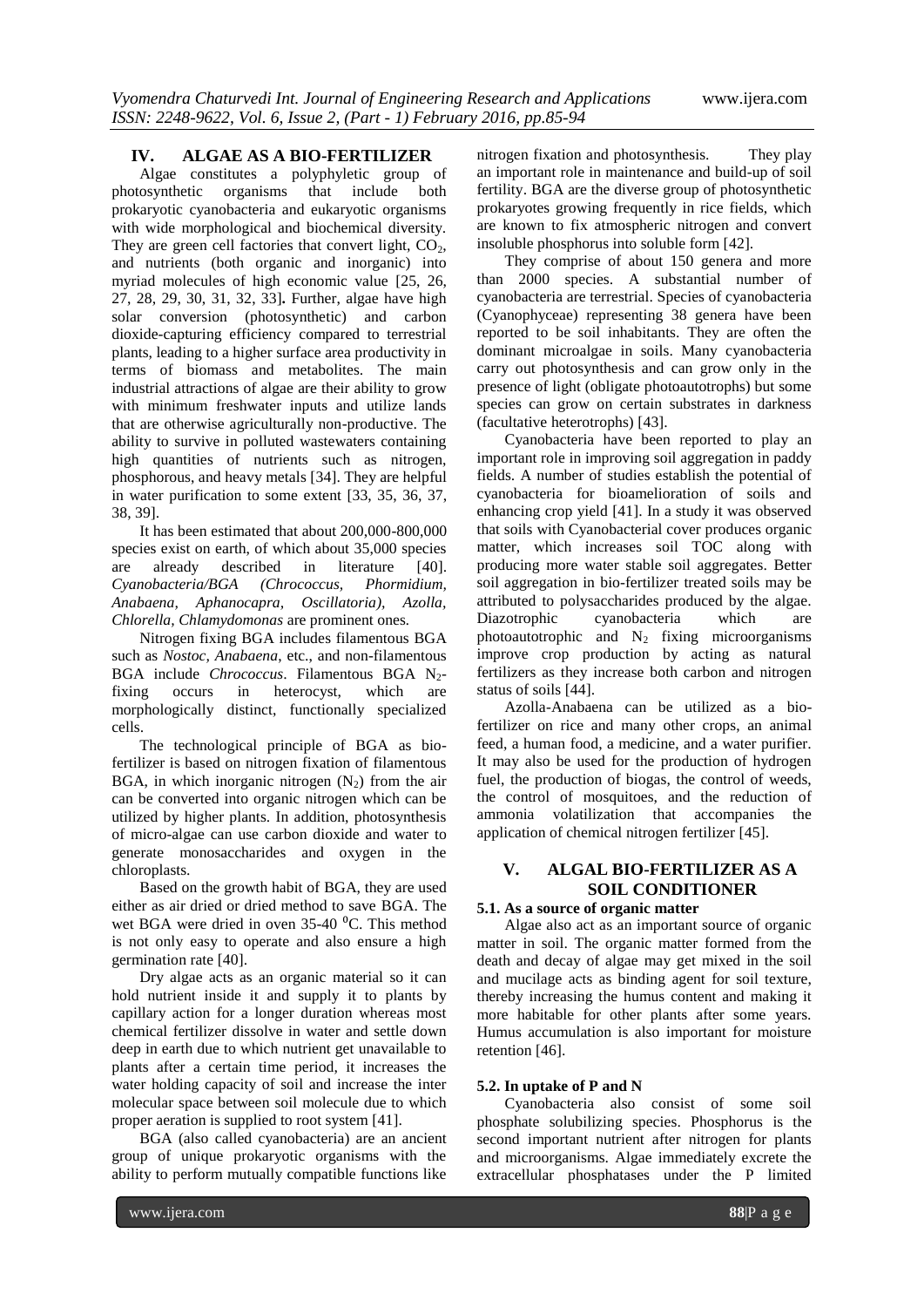#### **IV. ALGAE AS A BIO-FERTILIZER**

Algae constitutes a polyphyletic group of photosynthetic organisms that include both prokaryotic cyanobacteria and eukaryotic organisms with wide morphological and biochemical diversity. They are green cell factories that convert light,  $CO<sub>2</sub>$ , and nutrients (both organic and inorganic) into myriad molecules of high economic value [25, 26, 27, 28, 29, 30, 31, 32, 33]**.** Further, algae have high solar conversion (photosynthetic) and carbon dioxide-capturing efficiency compared to terrestrial plants, leading to a higher surface area productivity in terms of biomass and metabolites. The main industrial attractions of algae are their ability to grow with minimum freshwater inputs and utilize lands that are otherwise agriculturally non-productive. The ability to survive in polluted wastewaters containing high quantities of nutrients such as nitrogen, phosphorous, and heavy metals [34]. They are helpful in water purification to some extent [33, 35, 36, 37, 38, 39].

It has been estimated that about 200,000-800,000 species exist on earth, of which about 35,000 species are already described in literature [40]. *Cyanobacteria/BGA (Chrococcus, Phormidium, Anabaena, Aphanocapra, Oscillatoria), Azolla, Chlorella, Chlamydomonas* are prominent ones*.*

Nitrogen fixing BGA includes filamentous BGA such as *Nostoc, Anabaena*, etc., and non-filamentous BGA include *Chrococcus*. Filamentous BGA N<sub>2</sub>fixing occurs in heterocyst, which are morphologically distinct, functionally specialized cells.

The technological principle of BGA as biofertilizer is based on nitrogen fixation of filamentous BGA, in which inorganic nitrogen  $(N_2)$  from the air can be converted into organic nitrogen which can be utilized by higher plants. In addition, photosynthesis of micro-algae can use carbon dioxide and water to generate monosaccharides and oxygen in the chloroplasts.

Based on the growth habit of BGA, they are used either as air dried or dried method to save BGA. The wet BGA were dried in oven  $35-40$  °C. This method is not only easy to operate and also ensure a high germination rate [40].

Dry algae acts as an organic material so it can hold nutrient inside it and supply it to plants by capillary action for a longer duration whereas most chemical fertilizer dissolve in water and settle down deep in earth due to which nutrient get unavailable to plants after a certain time period, it increases the water holding capacity of soil and increase the inter molecular space between soil molecule due to which proper aeration is supplied to root system [41].

BGA (also called cyanobacteria) are an ancient group of unique prokaryotic organisms with the ability to perform mutually compatible functions like

nitrogen fixation and photosynthesis. They play an important role in maintenance and build-up of soil fertility. BGA are the diverse group of photosynthetic prokaryotes growing frequently in rice fields, which are known to fix atmospheric nitrogen and convert insoluble phosphorus into soluble form [42].

They comprise of about 150 genera and more than 2000 species. A substantial number of cyanobacteria are terrestrial. Species of cyanobacteria (Cyanophyceae) representing 38 genera have been reported to be soil inhabitants. They are often the dominant microalgae in soils. Many cyanobacteria carry out photosynthesis and can grow only in the presence of light (obligate photoautotrophs) but some species can grow on certain substrates in darkness (facultative heterotrophs) [43].

Cyanobacteria have been reported to play an important role in improving soil aggregation in paddy fields. A number of studies establish the potential of cyanobacteria for bioamelioration of soils and enhancing crop yield [41]. In a study it was observed that soils with Cyanobacterial cover produces organic matter, which increases soil TOC along with producing more water stable soil aggregates. Better soil aggregation in bio-fertilizer treated soils may be attributed to polysaccharides produced by the algae. Diazotrophic cyanobacteria which are photoautotrophic and  $N_2$  fixing microorganisms improve crop production by acting as natural fertilizers as they increase both carbon and nitrogen status of soils [44].

Azolla-Anabaena can be utilized as a biofertilizer on rice and many other crops, an animal feed, a human food, a medicine, and a water purifier. It may also be used for the production of hydrogen fuel, the production of biogas, the control of weeds, the control of mosquitoes, and the reduction of ammonia volatilization that accompanies the application of chemical nitrogen fertilizer [45].

# **V. ALGAL BIO-FERTILIZER AS A SOIL CONDITIONER**

## **5.1. As a source of organic matter**

Algae also act as an important source of organic matter in soil. The organic matter formed from the death and decay of algae may get mixed in the soil and mucilage acts as binding agent for soil texture, thereby increasing the humus content and making it more habitable for other plants after some years. Humus accumulation is also important for moisture retention [46].

#### **5.2. In uptake of P and N**

Cyanobacteria also consist of some soil phosphate solubilizing species. Phosphorus is the second important nutrient after nitrogen for plants and microorganisms. Algae immediately excrete the extracellular phosphatases under the P limited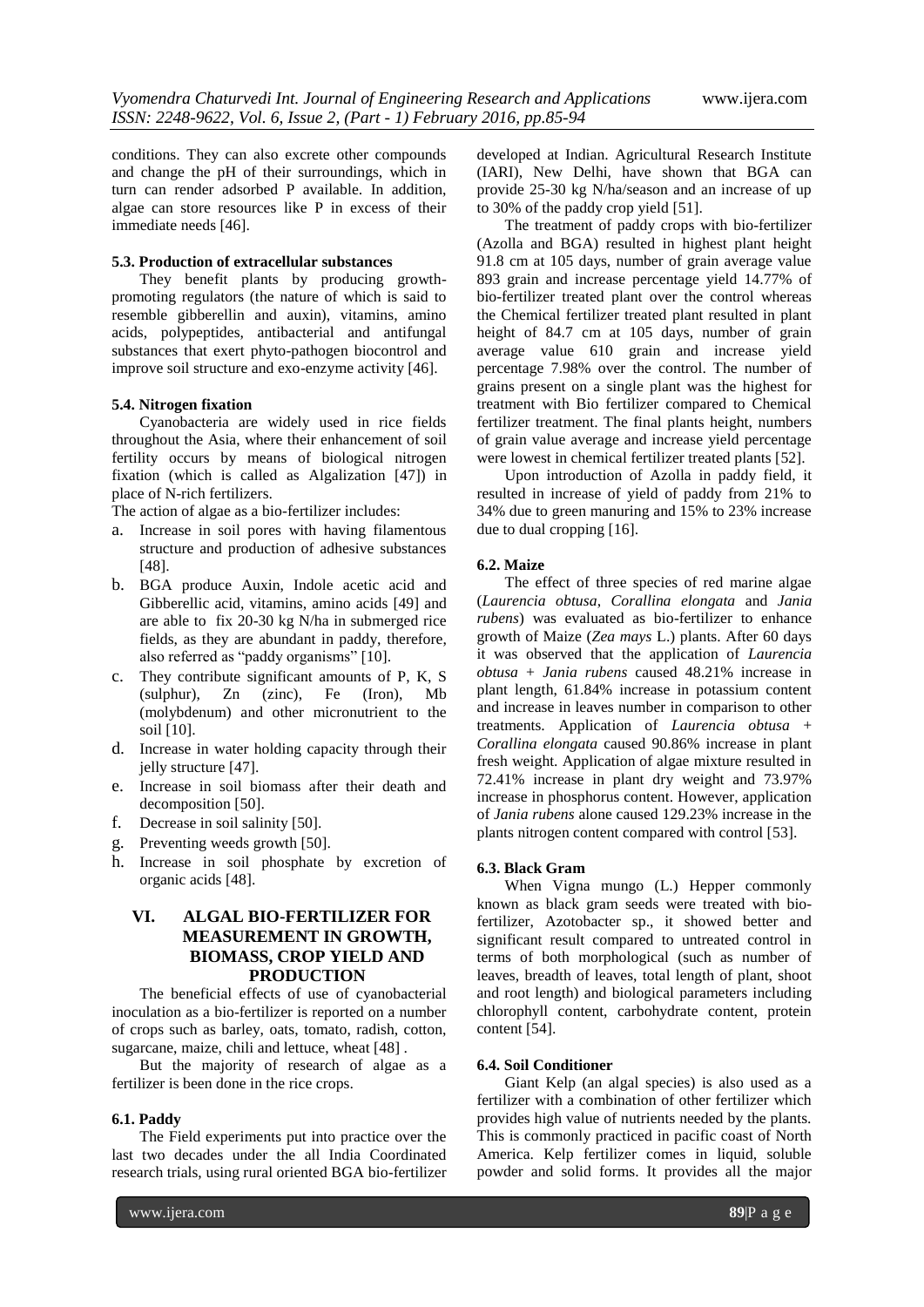conditions. They can also excrete other compounds and change the pH of their surroundings, which in turn can render adsorbed P available. In addition, algae can store resources like P in excess of their immediate needs [46].

## **5.3. Production of extracellular substances**

They benefit plants by producing growthpromoting regulators (the nature of which is said to resemble gibberellin and auxin), vitamins, amino acids, polypeptides, antibacterial and antifungal substances that exert phyto-pathogen biocontrol and improve soil structure and exo-enzyme activity [46].

## **5.4. Nitrogen fixation**

Cyanobacteria are widely used in rice fields throughout the Asia, where their enhancement of soil fertility occurs by means of biological nitrogen fixation (which is called as Algalization [47]) in place of N-rich fertilizers.

The action of algae as a bio-fertilizer includes:

- a. Increase in soil pores with having filamentous structure and production of adhesive substances [48].
- b. BGA produce Auxin, Indole acetic acid and Gibberellic acid, vitamins, amino acids [49] and are able to fix 20-30 kg N/ha in submerged rice fields, as they are abundant in paddy, therefore, also referred as "paddy organisms" [10].
- c. They contribute significant amounts of P, K, S (sulphur), Zn (zinc), Fe (Iron), Mb (molybdenum) and other micronutrient to the soil [10].
- d. Increase in water holding capacity through their jelly structure [47].
- e. Increase in soil biomass after their death and decomposition [50].
- f. Decrease in soil salinity [50].
- g. Preventing weeds growth [50].
- h. Increase in soil phosphate by excretion of organic acids [48].

## **VI. ALGAL BIO-FERTILIZER FOR MEASUREMENT IN GROWTH, BIOMASS, CROP YIELD AND PRODUCTION**

The beneficial effects of use of cyanobacterial inoculation as a bio-fertilizer is reported on a number of crops such as barley, oats, tomato, radish, cotton, sugarcane, maize, chili and lettuce, wheat [48] .

But the majority of research of algae as a fertilizer is been done in the rice crops.

#### **6.1. Paddy**

The Field experiments put into practice over the last two decades under the all India Coordinated research trials, using rural oriented BGA bio-fertilizer

developed at Indian. Agricultural Research Institute (IARI), New Delhi, have shown that BGA can provide 25-30 kg N/ha/season and an increase of up to 30% of the paddy crop yield [51].

The treatment of paddy crops with bio-fertilizer (Azolla and BGA) resulted in highest plant height 91.8 cm at 105 days, number of grain average value 893 grain and increase percentage yield 14.77% of bio-fertilizer treated plant over the control whereas the Chemical fertilizer treated plant resulted in plant height of 84.7 cm at 105 days, number of grain average value 610 grain and increase yield percentage 7.98% over the control. The number of grains present on a single plant was the highest for treatment with Bio fertilizer compared to Chemical fertilizer treatment. The final plants height, numbers of grain value average and increase yield percentage were lowest in chemical fertilizer treated plants [52].

Upon introduction of Azolla in paddy field, it resulted in increase of yield of paddy from 21% to 34% due to green manuring and 15% to 23% increase due to dual cropping [16].

#### **6.2. Maize**

The effect of three species of red marine algae (*Laurencia obtusa*, *Corallina elongata* and *Jania rubens*) was evaluated as bio-fertilizer to enhance growth of Maize (*Zea mays* L.) plants. After 60 days it was observed that the application of *Laurencia obtusa* + *Jania rubens* caused 48.21% increase in plant length, 61.84% increase in potassium content and increase in leaves number in comparison to other treatments. Application of *Laurencia obtusa* + *Corallina elongata* caused 90.86% increase in plant fresh weight. Application of algae mixture resulted in 72.41% increase in plant dry weight and 73.97% increase in phosphorus content. However, application of *Jania rubens* alone caused 129.23% increase in the plants nitrogen content compared with control [53].

#### **6.3. Black Gram**

When Vigna mungo (L.) Hepper commonly known as black gram seeds were treated with biofertilizer, Azotobacter sp., it showed better and significant result compared to untreated control in terms of both morphological (such as number of leaves, breadth of leaves, total length of plant, shoot and root length) and biological parameters including chlorophyll content, carbohydrate content, protein content [54].

#### **6.4. Soil Conditioner**

Giant Kelp (an algal species) is also used as a fertilizer with a combination of other fertilizer which provides high value of nutrients needed by the plants. This is commonly practiced in pacific coast of North America. Kelp fertilizer comes in liquid, soluble powder and solid forms. It provides all the major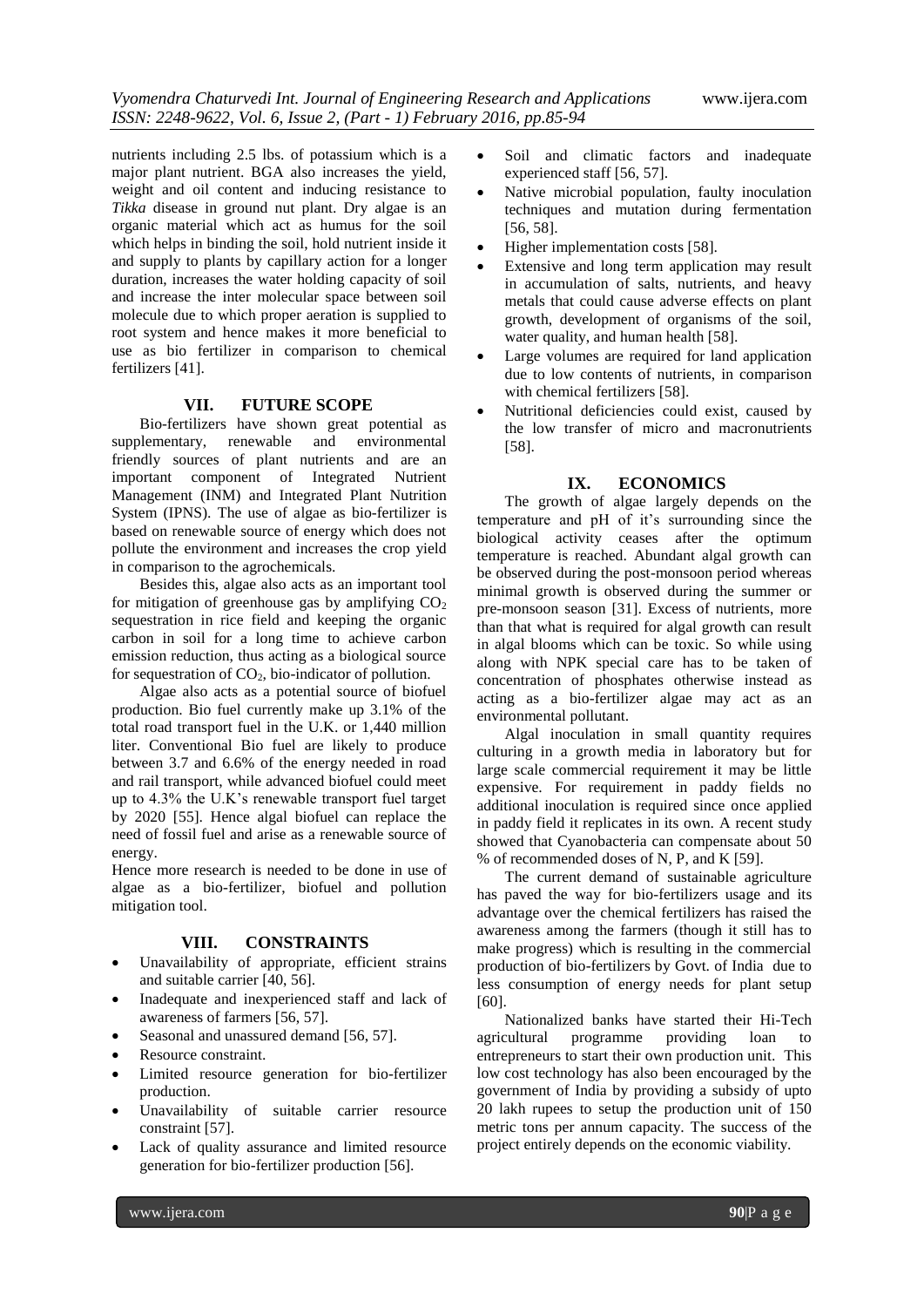nutrients including 2.5 lbs. of potassium which is a major plant nutrient. BGA also increases the yield, weight and oil content and inducing resistance to *Tikka* disease in ground nut plant. Dry algae is an organic material which act as humus for the soil which helps in binding the soil, hold nutrient inside it and supply to plants by capillary action for a longer duration, increases the water holding capacity of soil and increase the inter molecular space between soil molecule due to which proper aeration is supplied to root system and hence makes it more beneficial to use as bio fertilizer in comparison to chemical fertilizers [41].

## **VII. FUTURE SCOPE**

Bio-fertilizers have shown great potential as supplementary, renewable and environmental friendly sources of plant nutrients and are an important component of Integrated Nutrient Management (INM) and Integrated Plant Nutrition System (IPNS). The use of algae as bio-fertilizer is based on renewable source of energy which does not pollute the environment and increases the crop yield in comparison to the agrochemicals.

Besides this, algae also acts as an important tool for mitigation of greenhouse gas by amplifying  $CO<sub>2</sub>$ sequestration in rice field and keeping the organic carbon in soil for a long time to achieve carbon emission reduction, thus acting as a biological source for sequestration of  $CO<sub>2</sub>$ , bio-indicator of pollution.

Algae also acts as a potential source of biofuel production. Bio fuel currently make up 3.1% of the total road transport fuel in the U.K. or 1,440 million liter. Conventional Bio fuel are likely to produce between 3.7 and 6.6% of the energy needed in road and rail transport, while advanced biofuel could meet up to 4.3% the U.K's renewable transport fuel target by 2020 [55]. Hence algal biofuel can replace the need of fossil fuel and arise as a renewable source of energy.

Hence more research is needed to be done in use of algae as a bio-fertilizer, biofuel and pollution mitigation tool.

## **VIII. CONSTRAINTS**

- Unavailability of appropriate, efficient strains and suitable carrier [40, 56].
- Inadequate and inexperienced staff and lack of awareness of farmers [56, 57].
- Seasonal and unassured demand [56, 57].
- Resource constraint.
- Limited resource generation for bio-fertilizer production.
- Unavailability of suitable carrier resource constraint [57].
- Lack of quality assurance and limited resource generation for bio-fertilizer production [56].
- Soil and climatic factors and inadequate experienced staff [56, 57].
- Native microbial population, faulty inoculation techniques and mutation during fermentation [56, 58].
- Higher implementation costs [58].
- Extensive and long term application may result in accumulation of salts, nutrients, and heavy metals that could cause adverse effects on plant growth, development of organisms of the soil, water quality, and human health [58].
- Large volumes are required for land application due to low contents of nutrients, in comparison with chemical fertilizers [58].
- Nutritional deficiencies could exist, caused by the low transfer of micro and macronutrients [58].

## **IX. ECONOMICS**

The growth of algae largely depends on the temperature and pH of it's surrounding since the biological activity ceases after the optimum temperature is reached. Abundant algal growth can be observed during the post-monsoon period whereas minimal growth is observed during the summer or pre-monsoon season [31]. Excess of nutrients, more than that what is required for algal growth can result in algal blooms which can be toxic. So while using along with NPK special care has to be taken of concentration of phosphates otherwise instead as acting as a bio-fertilizer algae may act as an environmental pollutant.

Algal inoculation in small quantity requires culturing in a growth media in laboratory but for large scale commercial requirement it may be little expensive. For requirement in paddy fields no additional inoculation is required since once applied in paddy field it replicates in its own. A recent study showed that Cyanobacteria can compensate about 50 % of recommended doses of N, P, and K [59].

The current demand of sustainable agriculture has paved the way for bio-fertilizers usage and its advantage over the chemical fertilizers has raised the awareness among the farmers (though it still has to make progress) which is resulting in the commercial production of bio-fertilizers by Govt. of India due to less consumption of energy needs for plant setup [60].

Nationalized banks have started their Hi-Tech agricultural programme providing loan to entrepreneurs to start their own production unit. This low cost technology has also been encouraged by the government of India by providing a subsidy of upto 20 lakh rupees to setup the production unit of 150 metric tons per annum capacity. The success of the project entirely depends on the economic viability.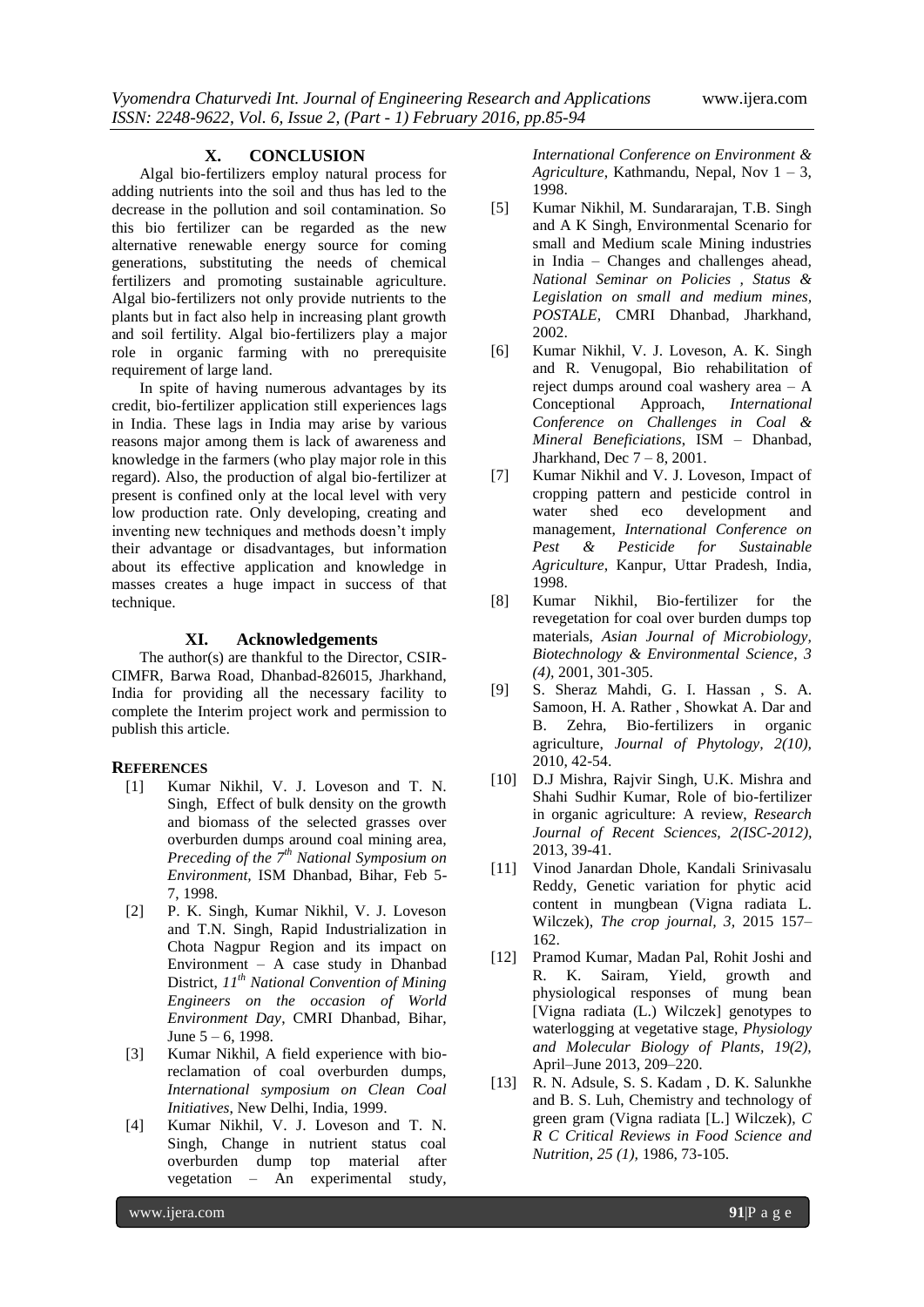#### **X. CONCLUSION**

Algal bio-fertilizers employ natural process for adding nutrients into the soil and thus has led to the decrease in the pollution and soil contamination. So this bio fertilizer can be regarded as the new alternative renewable energy source for coming generations, substituting the needs of chemical fertilizers and promoting sustainable agriculture. Algal bio-fertilizers not only provide nutrients to the plants but in fact also help in increasing plant growth and soil fertility. Algal bio-fertilizers play a major role in organic farming with no prerequisite requirement of large land.

In spite of having numerous advantages by its credit, bio-fertilizer application still experiences lags in India. These lags in India may arise by various reasons major among them is lack of awareness and knowledge in the farmers (who play major role in this regard). Also, the production of algal bio-fertilizer at present is confined only at the local level with very low production rate. Only developing, creating and inventing new techniques and methods doesn't imply their advantage or disadvantages, but information about its effective application and knowledge in masses creates a huge impact in success of that technique.

## **XI. Acknowledgements**

The author(s) are thankful to the Director, CSIR-CIMFR, Barwa Road, Dhanbad-826015, Jharkhand, India for providing all the necessary facility to complete the Interim project work and permission to publish this article.

#### **REFERENCES**

- [1] Kumar Nikhil, V. J. Loveson and T. N. Singh, Effect of bulk density on the growth and biomass of the selected grasses over overburden dumps around coal mining area, *Preceding of the 7th National Symposium on Environment,* ISM Dhanbad, Bihar, Feb 5- 7, 1998.
- [2] P. K. Singh, Kumar Nikhil, V. J. Loveson and T.N. Singh, Rapid Industrialization in Chota Nagpur Region and its impact on Environment – A case study in Dhanbad District, *11th National Convention of Mining Engineers on the occasion of World Environment Day*, CMRI Dhanbad, Bihar, June 5 – 6, 1998.
- [3] Kumar Nikhil, A field experience with bioreclamation of coal overburden dumps, *International symposium on Clean Coal Initiatives*, New Delhi, India, 1999.
- [4] Kumar Nikhil, V. J. Loveson and T. N. Singh, Change in nutrient status coal overburden dump top material after vegetation – An experimental study,

*International Conference on Environment & Agriculture*, Kathmandu, Nepal, Nov 1 – 3, 1998.

- [5] Kumar Nikhil, M. Sundararajan, T.B. Singh and A K Singh, Environmental Scenario for small and Medium scale Mining industries in India – Changes and challenges ahead, *National Seminar on Policies , Status & Legislation on small and medium mines, POSTALE*, CMRI Dhanbad, Jharkhand, 2002.
- [6] Kumar Nikhil, V. J. Loveson, A. K. Singh and R. Venugopal, Bio rehabilitation of reject dumps around coal washery area – A Conceptional Approach, *International Conference on Challenges in Coal & Mineral Beneficiations*, ISM – Dhanbad, Jharkhand, Dec 7 – 8, 2001.
- [7] Kumar Nikhil and V. J. Loveson, Impact of cropping pattern and pesticide control in water shed eco development and management, *International Conference on Pest & Pesticide for Sustainable Agriculture*, Kanpur, Uttar Pradesh, India, 1998.
- [8] Kumar Nikhil, Bio-fertilizer for the revegetation for coal over burden dumps top materials, *Asian Journal of Microbiology, Biotechnology & Environmental Science, 3 (4),* 2001, 301-305.
- [9] S. Sheraz Mahdi, G. I. Hassan , S. A. Samoon, H. A. Rather , Showkat A. Dar and B. Zehra, Bio-fertilizers in organic agriculture, *Journal of Phytology, 2(10),*  2010, 42-54.
- [10] D.J Mishra, Rajvir Singh, U.K. Mishra and Shahi Sudhir Kumar, Role of bio-fertilizer in organic agriculture: A review, *Research Journal of Recent Sciences, 2(ISC-2012),* 2013, 39-41.
- [11] Vinod Janardan Dhole, Kandali Srinivasalu Reddy, Genetic variation for phytic acid content in mungbean (Vigna radiata L. Wilczek), *The crop journal, 3,* 2015 157– 162.
- [12] Pramod Kumar, Madan Pal, Rohit Joshi and R. K. Sairam, Yield, growth and physiological responses of mung bean [Vigna radiata (L.) Wilczek] genotypes to waterlogging at vegetative stage, *Physiology and Molecular Biology of Plants, 19(2),*  April–June 2013, 209–220.
- [13] R. N. Adsule, S. S. Kadam , D. K. Salunkhe and B. S. Luh, Chemistry and technology of green gram (Vigna radiata [L.] Wilczek), *C R C Critical Reviews in Food Science and Nutrition, 25 (1),* 1986, 73-105.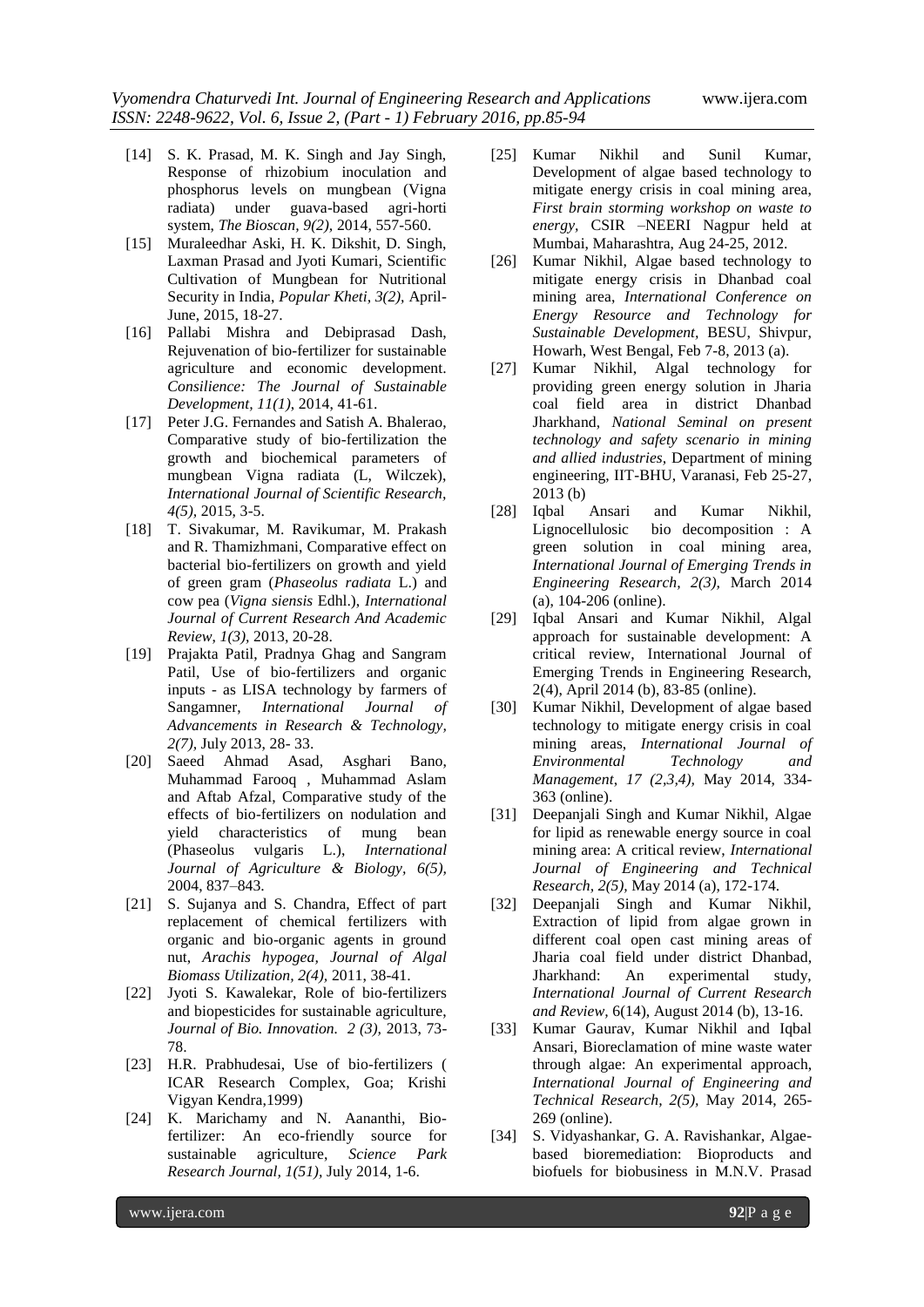- [14] S. K. Prasad, M. K. Singh and Jay Singh, Response of rhizobium inoculation and phosphorus levels on mungbean (Vigna radiata) under guava-based agri-horti system, *The Bioscan, 9(2),* 2014, 557-560.
- [15] Muraleedhar Aski, H. K. Dikshit, D. Singh, Laxman Prasad and Jyoti Kumari, Scientific Cultivation of Mungbean for Nutritional Security in India, *Popular Kheti, 3(2),* April-June, 2015, 18-27.
- [16] Pallabi Mishra and Debiprasad Dash, Rejuvenation of bio-fertilizer for sustainable agriculture and economic development. *Consilience: The Journal of Sustainable Development, 11(1)*, 2014, 41-61.
- [17] Peter J.G. Fernandes and Satish A. Bhalerao, Comparative study of bio-fertilization the growth and biochemical parameters of mungbean Vigna radiata (L, Wilczek), *International Journal of Scientific Research, 4(5),* 2015, 3-5.
- [18] T. Sivakumar, M. Ravikumar, M. Prakash and R. Thamizhmani, Comparative effect on bacterial bio-fertilizers on growth and yield of green gram (*Phaseolus radiata* L.) and cow pea (*Vigna siensis* Edhl.), *International Journal of Current Research And Academic Review*, *1(3),* 2013, 20-28.
- [19] Prajakta Patil, Pradnya Ghag and Sangram Patil, Use of bio-fertilizers and organic inputs - as LISA technology by farmers of Sangamner, *International Journal of Advancements in Research & Technology, 2(7),* July 2013, 28- 33.
- [20] Saeed Ahmad Asad, Asghari Bano, Muhammad Farooq , Muhammad Aslam and Aftab Afzal, Comparative study of the effects of bio-fertilizers on nodulation and yield characteristics of mung bean (Phaseolus vulgaris L.), *International Journal of Agriculture & Biology, 6(5),* 2004, 837–843.
- [21] S. Sujanya and S. Chandra, Effect of part replacement of chemical fertilizers with organic and bio-organic agents in ground nut, *Arachis hypogea, Journal of Algal Biomass Utilization, 2(4),* 2011, 38-41.
- [22] Jyoti S. Kawalekar, Role of bio-fertilizers and biopesticides for sustainable agriculture, *Journal of Bio. Innovation. 2 (3),* 2013, 73- 78.
- [23] H.R. Prabhudesai, Use of bio-fertilizers ( ICAR Research Complex, Goa; Krishi Vigyan Kendra,1999)
- [24] K. Marichamy and N. Aananthi, Biofertilizer: An eco-friendly source for sustainable agriculture, *Science Park Research Journal, 1(51),* July 2014, 1-6.
- [25] Kumar Nikhil and Sunil Kumar, Development of algae based technology to mitigate energy crisis in coal mining area, *First brain storming workshop on waste to energy,* CSIR –NEERI Nagpur held at Mumbai, Maharashtra, Aug 24-25, 2012.
- [26] Kumar Nikhil, Algae based technology to mitigate energy crisis in Dhanbad coal mining area, *International Conference on Energy Resource and Technology for Sustainable Development,* BESU, Shivpur, Howarh, West Bengal, Feb 7-8, 2013 (a).
- [27] Kumar Nikhil, Algal technology for providing green energy solution in Jharia coal field area in district Dhanbad Jharkhand, *National Seminal on present technology and safety scenario in mining and allied industries,* Department of mining engineering, IIT-BHU, Varanasi, Feb 25-27, 2013 (b)
- [28] Iqbal Ansari and Kumar Nikhil, Lignocellulosic bio decomposition : A green solution in coal mining area, *International Journal of Emerging Trends in Engineering Research, 2(3),* March 2014 (a), 104-206 (online).
- [29] Iqbal Ansari and Kumar Nikhil, Algal approach for sustainable development: A critical review, International Journal of Emerging Trends in Engineering Research, 2(4), April 2014 (b), 83-85 (online).
- [30] Kumar Nikhil, Development of algae based technology to mitigate energy crisis in coal mining areas, *International Journal of Environmental Technology and Management*, *17 (2,3,4),* May 2014, 334- 363 (online).
- [31] Deepanjali Singh and Kumar Nikhil, Algae for lipid as renewable energy source in coal mining area: A critical review, *International Journal of Engineering and Technical Research, 2(5),* May 2014 (a), 172-174.
- [32] Deepanjali Singh and Kumar Nikhil, Extraction of lipid from algae grown in different coal open cast mining areas of Jharia coal field under district Dhanbad, Jharkhand: An experimental study, *International Journal of Current Research and Review,* 6(14), August 2014 (b), 13-16.
- [33] Kumar Gaurav, Kumar Nikhil and Iqbal Ansari, Bioreclamation of mine waste water through algae: An experimental approach, *International Journal of Engineering and Technical Research, 2(5),* May 2014, 265- 269 (online).
- [34] S. Vidyashankar, G. A. Ravishankar, Algaebased bioremediation: Bioproducts and biofuels for biobusiness in M.N.V. Prasad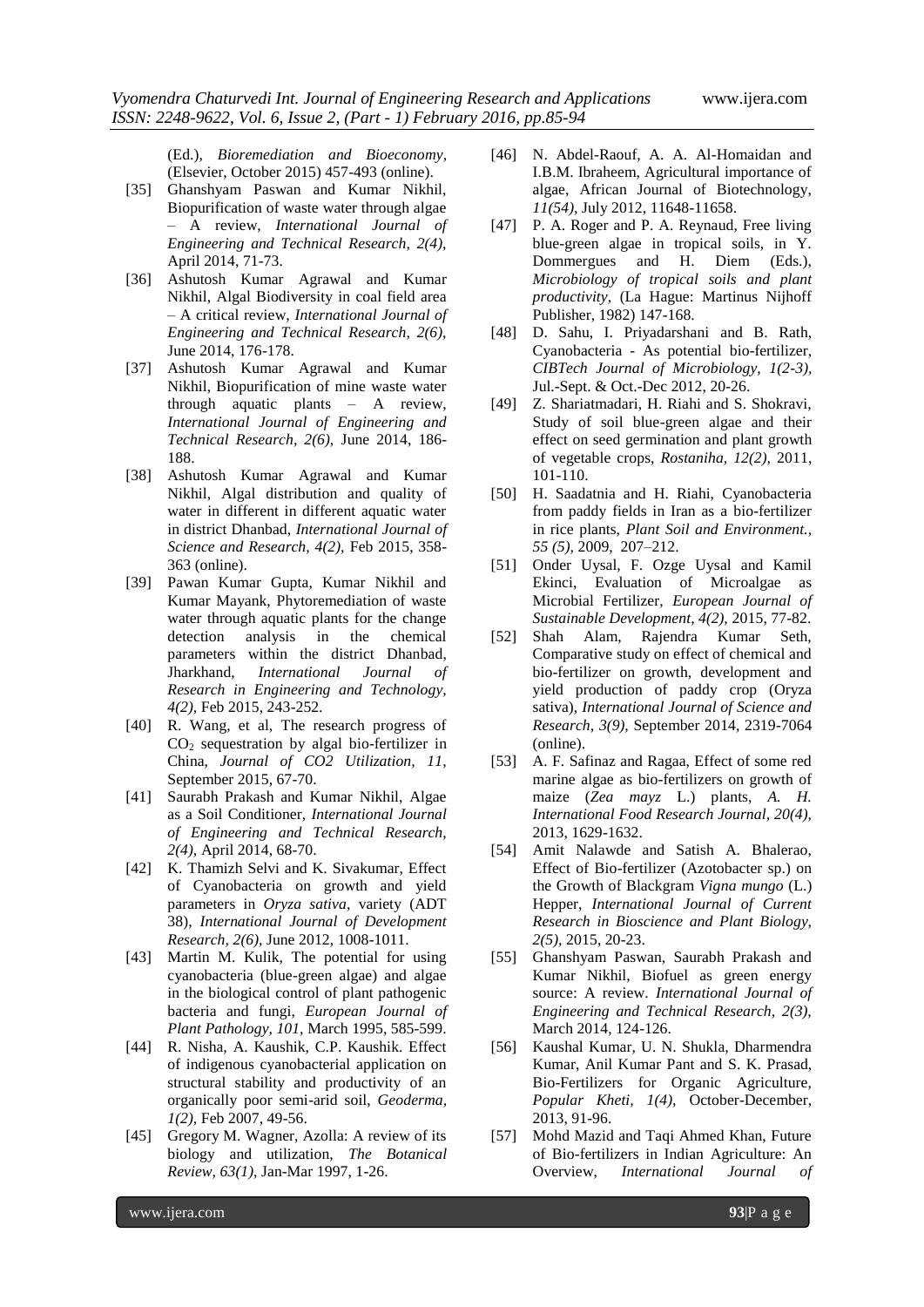(Ed.), *Bioremediation and Bioeconomy,*  (Elsevier, October 2015) 457-493 (online).

- [35] Ghanshyam Paswan and Kumar Nikhil, Biopurification of waste water through algae – A review, *International Journal of Engineering and Technical Research, 2(4),* April 2014, 71-73.
- [36] Ashutosh Kumar Agrawal and Kumar Nikhil, Algal Biodiversity in coal field area – A critical review, *International Journal of Engineering and Technical Research, 2(6),* June 2014, 176-178.
- [37] Ashutosh Kumar Agrawal and Kumar Nikhil, Biopurification of mine waste water through aquatic plants – A review, *International Journal of Engineering and Technical Research, 2(6),* June 2014, 186- 188.
- [38] Ashutosh Kumar Agrawal and Kumar Nikhil, Algal distribution and quality of water in different in different aquatic water in district Dhanbad, *International Journal of Science and Research, 4(2),* Feb 2015, 358- 363 (online).
- [39] Pawan Kumar Gupta, Kumar Nikhil and Kumar Mayank, Phytoremediation of waste water through aquatic plants for the change detection analysis in the chemical parameters within the district Dhanbad, Jharkhand, *International Journal of Research in Engineering and Technology, 4(2),* Feb 2015, 243-252.
- [40] R. Wang, et al, The research progress of  $CO<sub>2</sub>$  sequestration by algal bio-fertilizer in China, *Journal of CO2 Utilization, 11,*  September 2015, 67-70.
- [41] Saurabh Prakash and Kumar Nikhil, Algae as a Soil Conditioner, *International Journal of Engineering and Technical Research, 2(4),* April 2014, 68-70.
- [42] K. Thamizh Selvi and K. Sivakumar, Effect of Cyanobacteria on growth and yield parameters in *Oryza sativa*, variety (ADT 38), *International Journal of Development Research, 2(6),* June 2012, 1008-1011.
- [43] Martin M. Kulik, The potential for using cyanobacteria (blue-green algae) and algae in the biological control of plant pathogenic bacteria and fungi, *European Journal of Plant Pathology, 101,* March 1995, 585-599.
- [44] R. Nisha, A. Kaushik, C.P. Kaushik. Effect of indigenous cyanobacterial application on structural stability and productivity of an organically poor semi-arid soil, *Geoderma, 1(2),* Feb 2007, 49-56.
- [45] Gregory M. Wagner, Azolla: A review of its biology and utilization, *The Botanical Review, 63(1),* Jan-Mar 1997, 1-26.
- [46] N. Abdel-Raouf, A. A. Al-Homaidan and I.B.M. Ibraheem, Agricultural importance of algae, African Journal of Biotechnology, *11(54),* July 2012, 11648-11658.
- [47] P. A. Roger and P. A. Reynaud, Free living blue-green algae in tropical soils, in Y. Dommergues and H. Diem (Eds.), *Microbiology of tropical soils and plant productivity,* (La Hague: Martinus Nijhoff Publisher, 1982) 147-168.
- [48] D. Sahu, I. Priyadarshani and B. Rath, Cyanobacteria - As potential bio-fertilizer, *CIBTech Journal of Microbiology, 1(2-3),*  Jul.-Sept. & Oct.-Dec 2012, 20-26.
- [49] Z. Shariatmadari, H. Riahi and S. Shokravi, Study of soil blue-green algae and their effect on seed germination and plant growth of vegetable crops, *Rostaniha, 12(2),* 2011, 101-110.
- [50] H. Saadatnia and H. Riahi, Cyanobacteria from paddy fields in Iran as a bio-fertilizer in rice plants, *Plant Soil and Environment., 55 (5),* 2009, 207–212.
- [51] Onder Uysal, F. Ozge Uysal and Kamil Ekinci, Evaluation of Microalgae as Microbial Fertilizer, *European Journal of Sustainable Development, 4(2),* 2015, 77-82.
- [52] Shah Alam, Rajendra Kumar Seth, Comparative study on effect of chemical and bio-fertilizer on growth, development and yield production of paddy crop (Oryza sativa), *International Journal of Science and Research*, *3(9),* September 2014, 2319-7064 (online).
- [53] A. F. Safinaz and Ragaa, Effect of some red marine algae as bio-fertilizers on growth of maize (*Zea mayz* L.) plants, *A. H. International Food Research Journal, 20(4),* 2013, 1629-1632.
- [54] Amit Nalawde and Satish A. Bhalerao, Effect of Bio-fertilizer (Azotobacter sp.) on the Growth of Blackgram *Vigna mungo* (L.) Hepper, *International Journal of Current Research in Bioscience and Plant Biology, 2(5),* 2015, 20-23.
- [55] Ghanshyam Paswan, Saurabh Prakash and Kumar Nikhil, Biofuel as green energy source: A review. *International Journal of Engineering and Technical Research, 2(3),*  March 2014, 124-126.
- [56] Kaushal Kumar, U. N. Shukla, Dharmendra Kumar, Anil Kumar Pant and S. K. Prasad, Bio-Fertilizers for Organic Agriculture, *Popular Kheti, 1(4),* October-December, 2013, 91-96.
- [57] Mohd Mazid and Taqi Ahmed Khan, Future of Bio-fertilizers in Indian Agriculture: An Overview, *International Journal of*